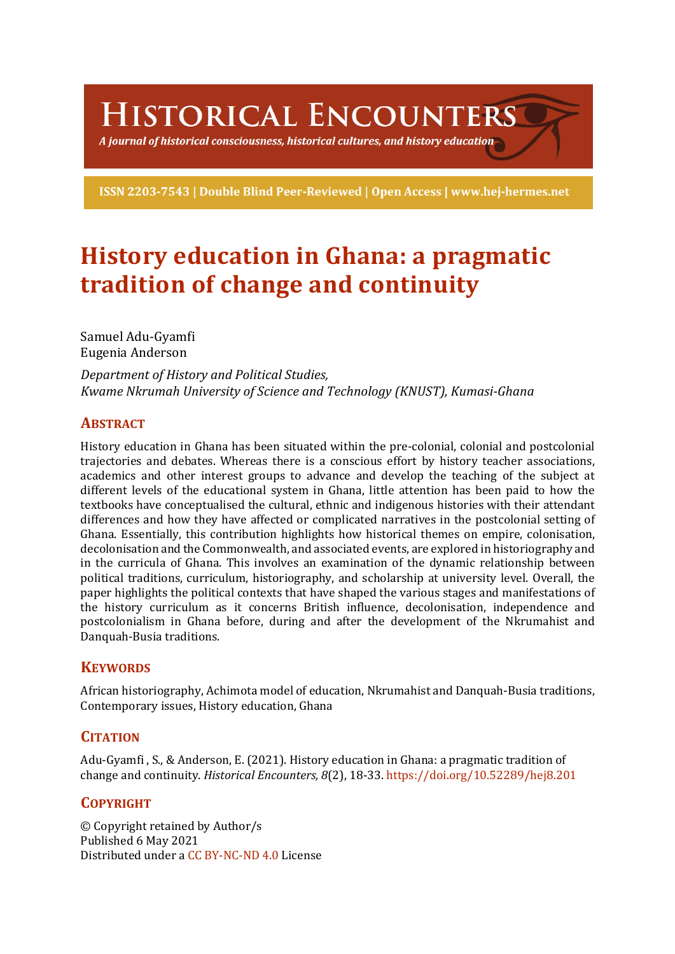HISTORICAL ENCOUNTERS

A journal of historical consciousness, historical cultures, and history education  $\mathbb S$ 

ISSN 2203-7543 | Double Blind Peer-Reviewed | Open Access | www.hej-hermes.net

# **History education in Ghana: a pragmatic tradition of change and continuity**

Samuel Adu-Gyamfi Eugenia Anderson

*Department of History and Political Studies, Kwame Nkrumah University of Science and Technology (KNUST), Kumasi-Ghana*

## **ABSTRACT**

History education in Ghana has been situated within the pre-colonial, colonial and postcolonial trajectories and debates. Whereas there is a conscious effort by history teacher associations, academics and other interest groups to advance and develop the teaching of the subject at different levels of the educational system in Ghana, little attention has been paid to how the textbooks have conceptualised the cultural, ethnic and indigenous histories with their attendant differences and how they have affected or complicated narratives in the postcolonial setting of Ghana. Essentially, this contribution highlights how historical themes on empire, colonisation, decolonisation and the Commonwealth, and associated events, are explored in historiography and in the curricula of Ghana. This involves an examination of the dynamic relationship between political traditions, curriculum, historiography, and scholarship at university level. Overall, the paper highlights the political contexts that have shaped the various stages and manifestations of the history curriculum as it concerns British influence, decolonisation, independence and postcolonialism in Ghana before, during and after the development of the Nkrumahist and Danquah-Busia traditions.

## **KEYWORDS**

African historiography, Achimota model of education, Nkrumahist and Danquah-Busia traditions, Contemporary issues, History education, Ghana

## **CITATION**

Adu-Gyamfi, S., & Anderson, E. (2021). History education in Ghana: a pragmatic tradition of change and continuity. *Historical Encounters, 8*(2), 18-33. https://doi.org/10.52289/hej8.201

## **COPYRIGHT**

© Copyright retained by Author/s Published 6 May 2021 Distributed under a CC BY-NC-ND 4.0 License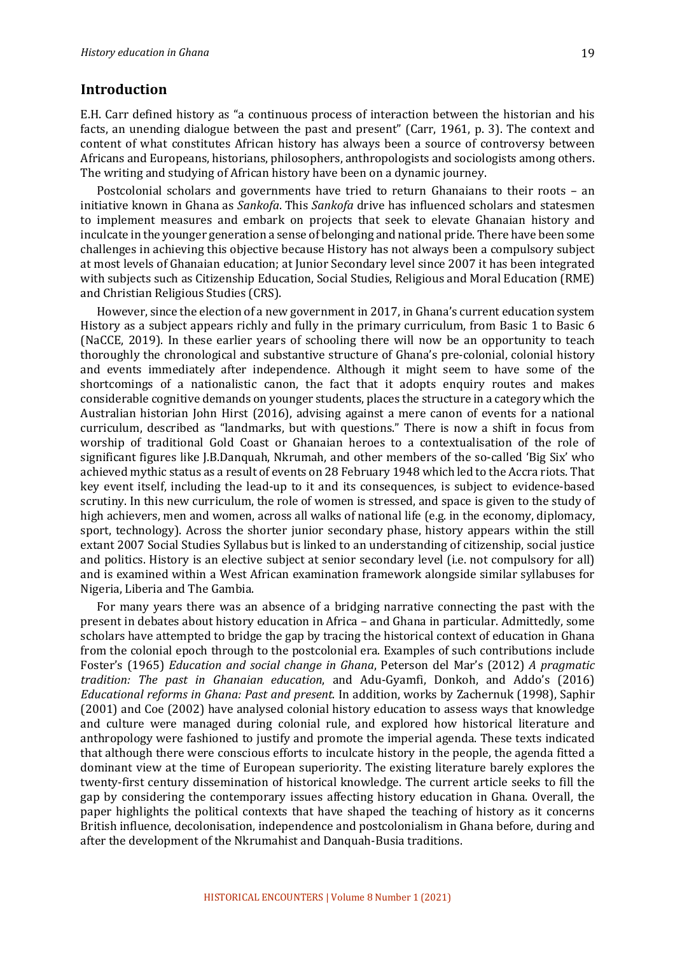### **Introduction**

E.H. Carr defined history as "a continuous process of interaction between the historian and his facts, an unending dialogue between the past and present" (Carr, 1961, p. 3). The context and content of what constitutes African history has always been a source of controversy between Africans and Europeans, historians, philosophers, anthropologists and sociologists among others. The writing and studying of African history have been on a dynamic journey.

Postcolonial scholars and governments have tried to return Ghanaians to their roots - an initiative known in Ghana as *Sankofa*. This *Sankofa* drive has influenced scholars and statesmen to implement measures and embark on projects that seek to elevate Ghanaian history and inculcate in the vounger generation a sense of belonging and national pride. There have been some challenges in achieving this objective because History has not always been a compulsory subject at most levels of Ghanaian education; at Junior Secondary level since 2007 it has been integrated with subjects such as Citizenship Education, Social Studies, Religious and Moral Education (RME) and Christian Religious Studies (CRS).

However, since the election of a new government in 2017, in Ghana's current education system History as a subject appears richly and fully in the primary curriculum, from Basic 1 to Basic 6 (NaCCE, 2019). In these earlier years of schooling there will now be an opportunity to teach thoroughly the chronological and substantive structure of Ghana's pre-colonial, colonial history and events immediately after independence. Although it might seem to have some of the shortcomings of a nationalistic canon, the fact that it adopts enquiry routes and makes considerable cognitive demands on younger students, places the structure in a category which the Australian historian John Hirst (2016), advising against a mere canon of events for a national curriculum, described as "landmarks, but with questions." There is now a shift in focus from worship of traditional Gold Coast or Ghanaian heroes to a contextualisation of the role of significant figures like J.B.Danquah, Nkrumah, and other members of the so-called 'Big Six' who achieved mythic status as a result of events on 28 February 1948 which led to the Accra riots. That key event itself, including the lead-up to it and its consequences, is subject to evidence-based scrutiny. In this new curriculum, the role of women is stressed, and space is given to the study of high achievers, men and women, across all walks of national life (e.g. in the economy, diplomacy, sport, technology). Across the shorter junior secondary phase, history appears within the still extant 2007 Social Studies Syllabus but is linked to an understanding of citizenship, social justice and politics. History is an elective subject at senior secondary level (i.e. not compulsory for all) and is examined within a West African examination framework alongside similar syllabuses for Nigeria, Liberia and The Gambia.

For many years there was an absence of a bridging narrative connecting the past with the present in debates about history education in Africa - and Ghana in particular. Admittedly, some scholars have attempted to bridge the gap by tracing the historical context of education in Ghana from the colonial epoch through to the postcolonial era. Examples of such contributions include Foster's (1965) *Education and social change in Ghana*, Peterson del Mar's (2012) *A pragmatic tradition: The past in Ghanaian education*, and Adu-Gyamfi, Donkoh, and Addo's (2016) *Educational reforms in Ghana: Past and present.* In addition, works by Zachernuk (1998), Saphir (2001) and Coe (2002) have analysed colonial history education to assess ways that knowledge and culture were managed during colonial rule, and explored how historical literature and anthropology were fashioned to justify and promote the imperial agenda. These texts indicated that although there were conscious efforts to inculcate history in the people, the agenda fitted a dominant view at the time of European superiority. The existing literature barely explores the twenty-first century dissemination of historical knowledge. The current article seeks to fill the gap by considering the contemporary issues affecting history education in Ghana. Overall, the paper highlights the political contexts that have shaped the teaching of history as it concerns British influence, decolonisation, independence and postcolonialism in Ghana before, during and after the development of the Nkrumahist and Danquah-Busia traditions.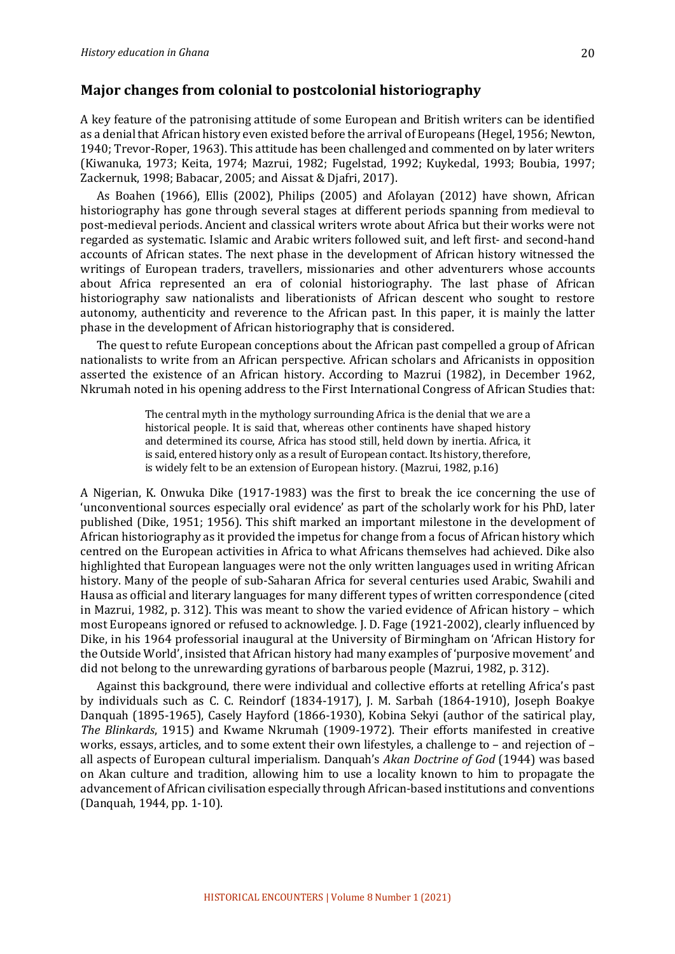## **Major changes from colonial to postcolonial historiography**

A key feature of the patronising attitude of some European and British writers can be identified as a denial that African history even existed before the arrival of Europeans (Hegel, 1956; Newton, 1940; Trevor-Roper, 1963). This attitude has been challenged and commented on by later writers (Kiwanuka, 1973; Keita, 1974; Mazrui, 1982; Fugelstad, 1992; Kuykedal, 1993; Boubia, 1997; Zackernuk, 1998; Babacar, 2005; and Aissat & Djafri, 2017).

As Boahen (1966), Ellis (2002), Philips (2005) and Afolayan (2012) have shown, African historiography has gone through several stages at different periods spanning from medieval to post-medieval periods. Ancient and classical writers wrote about Africa but their works were not regarded as systematic. Islamic and Arabic writers followed suit, and left first- and second-hand accounts of African states. The next phase in the development of African history witnessed the writings of European traders, travellers, missionaries and other adventurers whose accounts about Africa represented an era of colonial historiography. The last phase of African historiography saw nationalists and liberationists of African descent who sought to restore autonomy, authenticity and reverence to the African past. In this paper, it is mainly the latter phase in the development of African historiography that is considered.

The quest to refute European conceptions about the African past compelled a group of African nationalists to write from an African perspective. African scholars and Africanists in opposition asserted the existence of an African history. According to Mazrui (1982), in December 1962, Nkrumah noted in his opening address to the First International Congress of African Studies that:

> The central myth in the mythology surrounding Africa is the denial that we are a historical people. It is said that, whereas other continents have shaped history and determined its course, Africa has stood still, held down by inertia. Africa, it is said, entered history only as a result of European contact. Its history, therefore, is widely felt to be an extension of European history. (Mazrui, 1982, p.16)

A Nigerian, K. Onwuka Dike (1917-1983) was the first to break the ice concerning the use of 'unconventional sources especially oral evidence' as part of the scholarly work for his PhD, later published (Dike, 1951; 1956). This shift marked an important milestone in the development of African historiography as it provided the impetus for change from a focus of African history which centred on the European activities in Africa to what Africans themselves had achieved. Dike also highlighted that European languages were not the only written languages used in writing African history. Many of the people of sub-Saharan Africa for several centuries used Arabic, Swahili and Hausa as official and literary languages for many different types of written correspondence (cited in Mazrui, 1982, p. 312). This was meant to show the varied evidence of African history – which most Europeans ignored or refused to acknowledge. J. D. Fage (1921-2002), clearly influenced by Dike, in his 1964 professorial inaugural at the University of Birmingham on 'African History for the Outside World', insisted that African history had many examples of 'purposive movement' and did not belong to the unrewarding gyrations of barbarous people (Mazrui, 1982, p. 312).

Against this background, there were individual and collective efforts at retelling Africa's past by individuals such as C. C. Reindorf (1834-1917), J. M. Sarbah (1864-1910), Joseph Boakye Danquah (1895-1965), Casely Hayford (1866-1930), Kobina Sekyi (author of the satirical play, *The Blinkards*, 1915) and Kwame Nkrumah (1909-1972). Their efforts manifested in creative works, essays, articles, and to some extent their own lifestyles, a challenge to - and rejection of all aspects of European cultural imperialism. Danquah's *Akan Doctrine of God* (1944) was based on Akan culture and tradition, allowing him to use a locality known to him to propagate the advancement of African civilisation especially through African-based institutions and conventions (Danquah, 1944, pp. 1-10).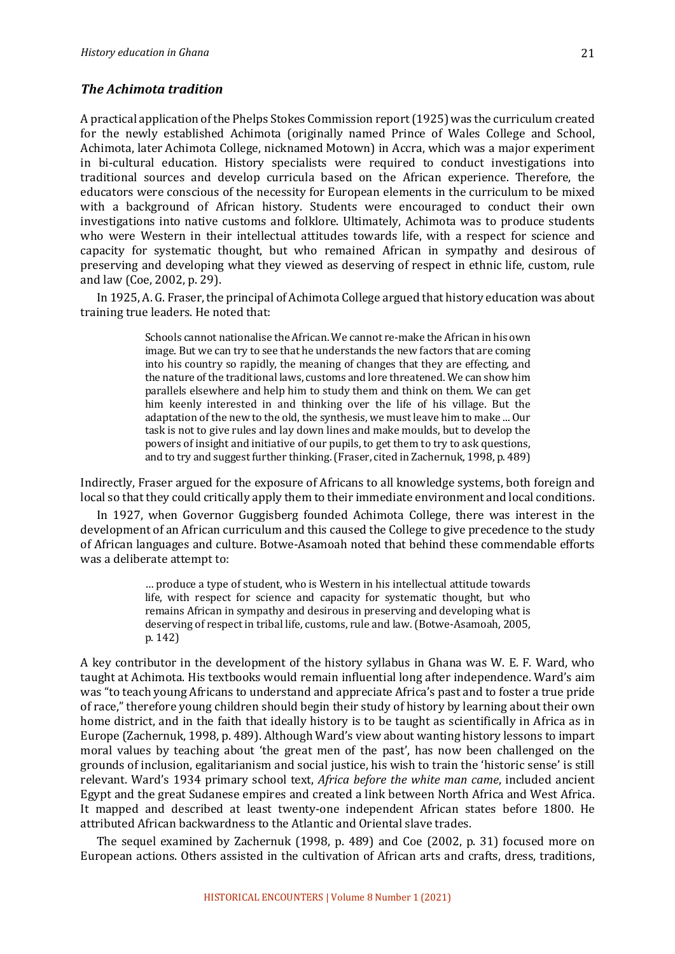### **The Achimota tradition**

A practical application of the Phelps Stokes Commission report (1925) was the curriculum created for the newly established Achimota (originally named Prince of Wales College and School, Achimota, later Achimota College, nicknamed Motown) in Accra, which was a major experiment in bi-cultural education. History specialists were required to conduct investigations into traditional sources and develop curricula based on the African experience. Therefore, the educators were conscious of the necessity for European elements in the curriculum to be mixed with a background of African history. Students were encouraged to conduct their own investigations into native customs and folklore. Ultimately, Achimota was to produce students who were Western in their intellectual attitudes towards life, with a respect for science and capacity for systematic thought, but who remained African in sympathy and desirous of preserving and developing what they viewed as deserving of respect in ethnic life, custom, rule and law (Coe, 2002, p. 29).

In 1925, A. G. Fraser, the principal of Achimota College argued that history education was about training true leaders. He noted that:

> Schools cannot nationalise the African. We cannot re-make the African in his own image. But we can try to see that he understands the new factors that are coming into his country so rapidly, the meaning of changes that they are effecting, and the nature of the traditional laws, customs and lore threatened. We can show him parallels elsewhere and help him to study them and think on them. We can get him keenly interested in and thinking over the life of his village. But the adaptation of the new to the old, the synthesis, we must leave him to make ... Our task is not to give rules and lay down lines and make moulds, but to develop the powers of insight and initiative of our pupils, to get them to try to ask questions, and to try and suggest further thinking. (Fraser, cited in Zachernuk, 1998, p. 489)

Indirectly, Fraser argued for the exposure of Africans to all knowledge systems, both foreign and local so that they could critically apply them to their immediate environment and local conditions.

In 1927, when Governor Guggisberg founded Achimota College, there was interest in the development of an African curriculum and this caused the College to give precedence to the study of African languages and culture. Botwe-Asamoah noted that behind these commendable efforts was a deliberate attempt to:

> ... produce a type of student, who is Western in his intellectual attitude towards life, with respect for science and capacity for systematic thought, but who remains African in sympathy and desirous in preserving and developing what is deserving of respect in tribal life, customs, rule and law. (Botwe-Asamoah, 2005, p. 142)

A key contributor in the development of the history syllabus in Ghana was W. E. F. Ward, who taught at Achimota. His textbooks would remain influential long after independence. Ward's aim was "to teach young Africans to understand and appreciate Africa's past and to foster a true pride of race," therefore young children should begin their study of history by learning about their own home district, and in the faith that ideally history is to be taught as scientifically in Africa as in Europe (Zachernuk, 1998, p. 489). Although Ward's view about wanting history lessons to impart moral values by teaching about 'the great men of the past', has now been challenged on the grounds of inclusion, egalitarianism and social justice, his wish to train the 'historic sense' is still relevant. Ward's 1934 primary school text, *Africa before the white man came*, included ancient Egypt and the great Sudanese empires and created a link between North Africa and West Africa. It mapped and described at least twenty-one independent African states before 1800. He attributed African backwardness to the Atlantic and Oriental slave trades.

The sequel examined by Zachernuk (1998, p. 489) and Coe (2002, p. 31) focused more on European actions. Others assisted in the cultivation of African arts and crafts, dress, traditions,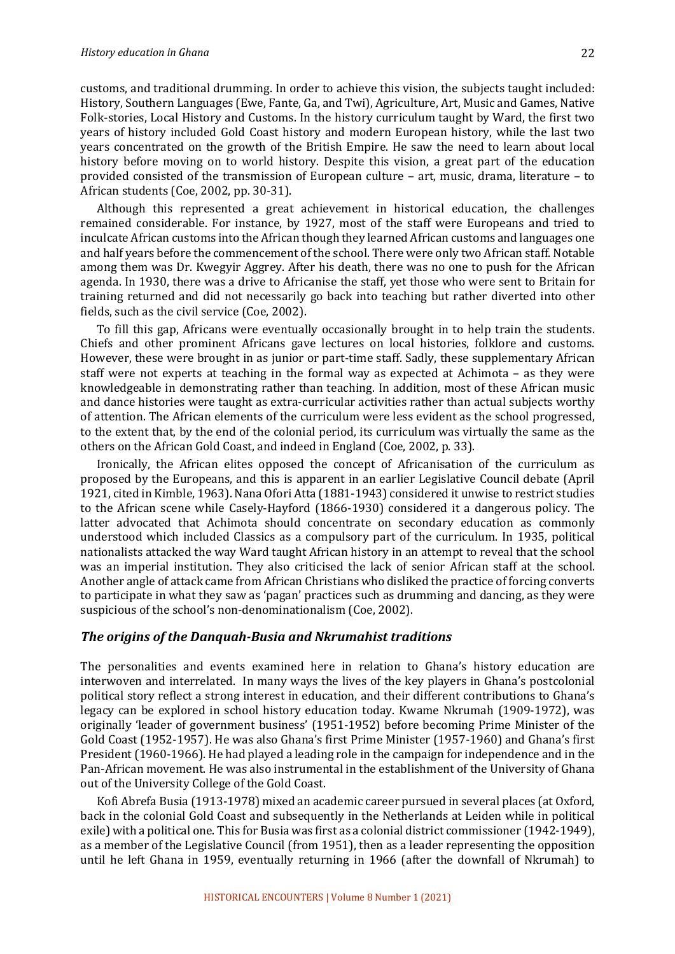customs, and traditional drumming. In order to achieve this vision, the subjects taught included: History, Southern Languages (Ewe, Fante, Ga, and Twi), Agriculture, Art, Music and Games, Native Folk-stories, Local History and Customs. In the history curriculum taught by Ward, the first two years of history included Gold Coast history and modern European history, while the last two years concentrated on the growth of the British Empire. He saw the need to learn about local history before moving on to world history. Despite this vision, a great part of the education provided consisted of the transmission of European culture - art, music, drama, literature - to African students (Coe, 2002, pp. 30-31).

Although this represented a great achievement in historical education, the challenges remained considerable. For instance, by 1927, most of the staff were Europeans and tried to inculcate African customs into the African though they learned African customs and languages one and half years before the commencement of the school. There were only two African staff. Notable among them was Dr. Kwegyir Aggrey. After his death, there was no one to push for the African agenda. In 1930, there was a drive to Africanise the staff, yet those who were sent to Britain for training returned and did not necessarily go back into teaching but rather diverted into other fields, such as the civil service (Coe, 2002).

To fill this gap, Africans were eventually occasionally brought in to help train the students. Chiefs and other prominent Africans gave lectures on local histories, folklore and customs. However, these were brought in as junior or part-time staff. Sadly, these supplementary African staff were not experts at teaching in the formal way as expected at Achimota – as they were knowledgeable in demonstrating rather than teaching. In addition, most of these African music and dance histories were taught as extra-curricular activities rather than actual subjects worthy of attention. The African elements of the curriculum were less evident as the school progressed, to the extent that, by the end of the colonial period, its curriculum was virtually the same as the others on the African Gold Coast, and indeed in England (Coe, 2002, p. 33).

Ironically, the African elites opposed the concept of Africanisation of the curriculum as proposed by the Europeans, and this is apparent in an earlier Legislative Council debate (April 1921, cited in Kimble, 1963). Nana Ofori Atta (1881-1943) considered it unwise to restrict studies to the African scene while Casely-Hayford (1866-1930) considered it a dangerous policy. The latter advocated that Achimota should concentrate on secondary education as commonly understood which included Classics as a compulsory part of the curriculum. In 1935, political nationalists attacked the way Ward taught African history in an attempt to reveal that the school was an imperial institution. They also criticised the lack of senior African staff at the school. Another angle of attack came from African Christians who disliked the practice of forcing converts to participate in what they saw as 'pagan' practices such as drumming and dancing, as they were suspicious of the school's non-denominationalism (Coe, 2002).

#### **The origins of the Danquah-Busia and Nkrumahist traditions**

The personalities and events examined here in relation to Ghana's history education are interwoven and interrelated. In many ways the lives of the key players in Ghana's postcolonial political story reflect a strong interest in education, and their different contributions to Ghana's legacy can be explored in school history education today. Kwame Nkrumah (1909-1972), was originally 'leader of government business' (1951-1952) before becoming Prime Minister of the Gold Coast (1952-1957). He was also Ghana's first Prime Minister (1957-1960) and Ghana's first President (1960-1966). He had played a leading role in the campaign for independence and in the Pan-African movement. He was also instrumental in the establishment of the University of Ghana out of the University College of the Gold Coast.

Kofi Abrefa Busia (1913-1978) mixed an academic career pursued in several places (at Oxford, back in the colonial Gold Coast and subsequently in the Netherlands at Leiden while in political exile) with a political one. This for Busia was first as a colonial district commissioner (1942-1949), as a member of the Legislative Council (from 1951), then as a leader representing the opposition until he left Ghana in 1959, eventually returning in 1966 (after the downfall of Nkrumah) to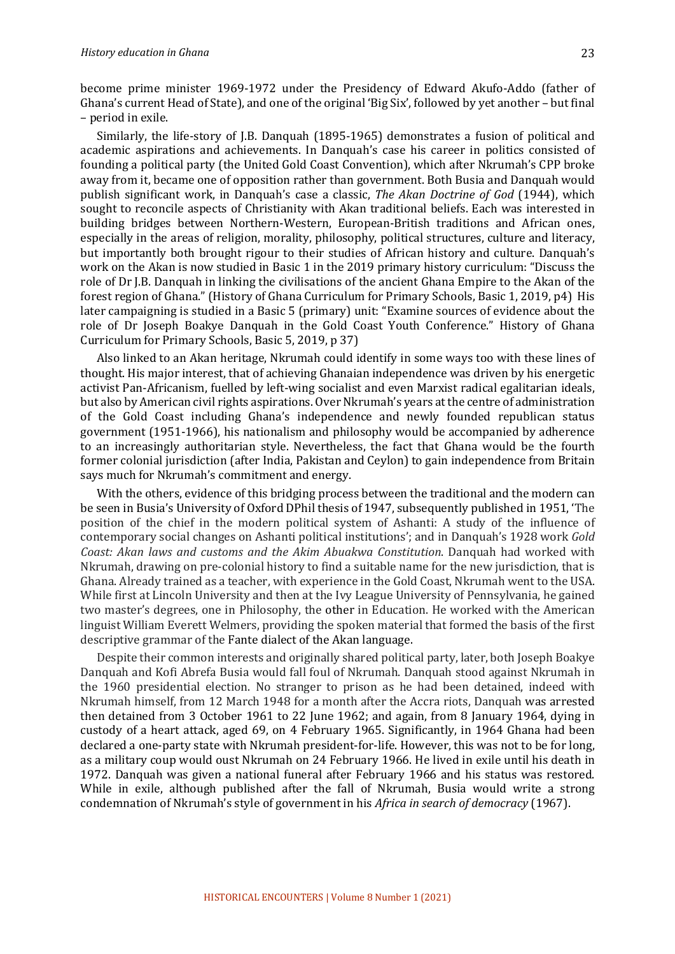become prime minister 1969-1972 under the Presidency of Edward Akufo-Addo (father of Ghana's current Head of State), and one of the original 'Big Six', followed by yet another – but final – period in exile.

Similarly, the life-story of J.B. Danguah (1895-1965) demonstrates a fusion of political and academic aspirations and achievements. In Danquah's case his career in politics consisted of founding a political party (the United Gold Coast Convention), which after Nkrumah's CPP broke away from it, became one of opposition rather than government. Both Busia and Danquah would publish significant work, in Danquah's case a classic, *The Akan Doctrine of God* (1944), which sought to reconcile aspects of Christianity with Akan traditional beliefs. Each was interested in building bridges between Northern-Western, European-British traditions and African ones, especially in the areas of religion, morality, philosophy, political structures, culture and literacy, but importantly both brought rigour to their studies of African history and culture. Danquah's work on the Akan is now studied in Basic 1 in the 2019 primary history curriculum: "Discuss the role of Dr J.B. Danquah in linking the civilisations of the ancient Ghana Empire to the Akan of the forest region of Ghana." (History of Ghana Curriculum for Primary Schools, Basic 1, 2019, p4) His later campaigning is studied in a Basic 5 (primary) unit: "Examine sources of evidence about the role of Dr Joseph Boakye Danquah in the Gold Coast Youth Conference." History of Ghana Curriculum for Primary Schools, Basic 5, 2019, p 37)

Also linked to an Akan heritage, Nkrumah could identify in some ways too with these lines of thought. His major interest, that of achieving Ghanaian independence was driven by his energetic activist Pan-Africanism, fuelled by left-wing socialist and even Marxist radical egalitarian ideals, but also by American civil rights aspirations. Over Nkrumah's years at the centre of administration of the Gold Coast including Ghana's independence and newly founded republican status government (1951-1966), his nationalism and philosophy would be accompanied by adherence to an increasingly authoritarian style. Nevertheless, the fact that Ghana would be the fourth former colonial jurisdiction (after India, Pakistan and Ceylon) to gain independence from Britain says much for Nkrumah's commitment and energy.

With the others, evidence of this bridging process between the traditional and the modern can be seen in Busia's University of Oxford DPhil thesis of 1947, subsequently published in 1951, 'The position of the chief in the modern political system of Ashanti: A study of the influence of contemporary social changes on Ashanti political institutions'; and in Danquah's 1928 work *Gold* Coast: Akan laws and customs and the Akim Abuakwa Constitution. Danquah had worked with Nkrumah, drawing on pre-colonial history to find a suitable name for the new jurisdiction, that is Ghana. Already trained as a teacher, with experience in the Gold Coast, Nkrumah went to the USA. While first at Lincoln University and then at the Ivy League University of Pennsylvania, he gained two master's degrees, one in Philosophy, the other in Education. He worked with the American linguist William Everett Welmers, providing the spoken material that formed the basis of the first descriptive grammar of the Fante dialect of the Akan language.

Despite their common interests and originally shared political party, later, both Joseph Boakye Danquah and Kofi Abrefa Busia would fall foul of Nkrumah. Danquah stood against Nkrumah in the 1960 presidential election. No stranger to prison as he had been detained, indeed with Nkrumah himself, from 12 March 1948 for a month after the Accra riots, Danguah was arrested then detained from 3 October 1961 to 22 June 1962; and again, from 8 January 1964, dying in custody of a heart attack, aged 69, on 4 February 1965. Significantly, in 1964 Ghana had been declared a one-party state with Nkrumah president-for-life. However, this was not to be for long, as a military coup would oust Nkrumah on 24 February 1966. He lived in exile until his death in 1972. Danguah was given a national funeral after February 1966 and his status was restored. While in exile, although published after the fall of Nkrumah, Busia would write a strong condemnation of Nkrumah's style of government in his *Africa in search of democracy* (1967).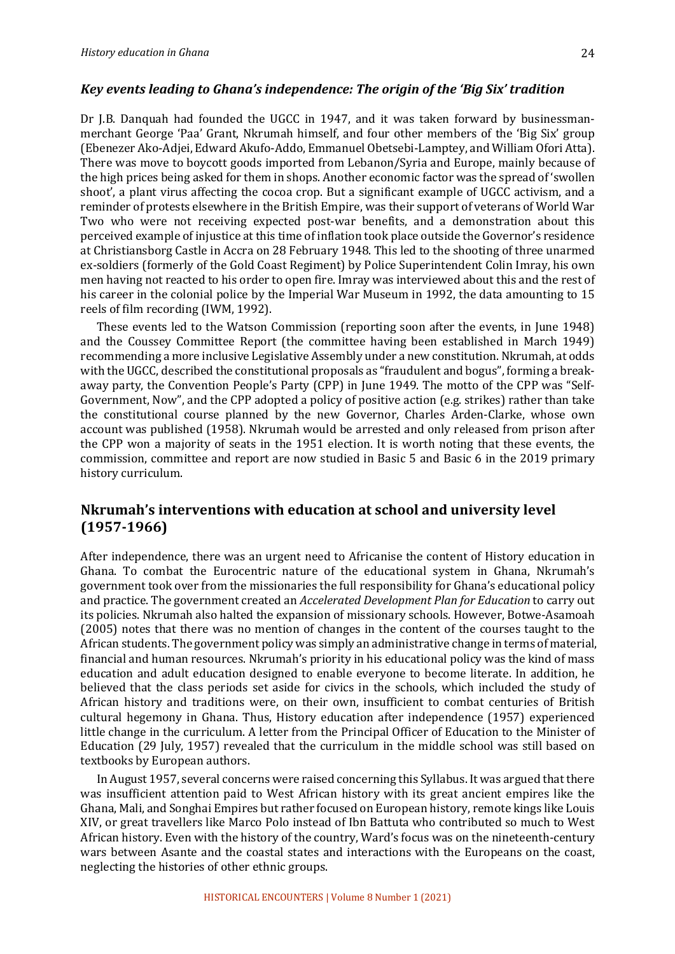#### Key events leading to Ghana's independence: The origin of the 'Big Six' tradition

Dr J.B. Danquah had founded the UGCC in 1947, and it was taken forward by businessmanmerchant George 'Paa' Grant, Nkrumah himself, and four other members of the 'Big Six' group (Ebenezer Ako-Adjei, Edward Akufo-Addo, Emmanuel Obetsebi-Lamptey, and William Ofori Atta). There was move to boycott goods imported from Lebanon/Syria and Europe, mainly because of the high prices being asked for them in shops. Another economic factor was the spread of 'swollen shoot', a plant virus affecting the cocoa crop. But a significant example of UGCC activism, and a reminder of protests elsewhere in the British Empire, was their support of veterans of World War Two who were not receiving expected post-war benefits, and a demonstration about this perceived example of injustice at this time of inflation took place outside the Governor's residence at Christiansborg Castle in Accra on 28 February 1948. This led to the shooting of three unarmed ex-soldiers (formerly of the Gold Coast Regiment) by Police Superintendent Colin Imray, his own men having not reacted to his order to open fire. Imray was interviewed about this and the rest of his career in the colonial police by the Imperial War Museum in 1992, the data amounting to 15 reels of film recording (IWM, 1992).

These events led to the Watson Commission (reporting soon after the events, in June 1948) and the Coussey Committee Report (the committee having been established in March 1949) recommending a more inclusive Legislative Assembly under a new constitution. Nkrumah, at odds with the UGCC, described the constitutional proposals as "fraudulent and bogus", forming a breakaway party, the Convention People's Party (CPP) in June 1949. The motto of the CPP was "Self-Government, Now", and the CPP adopted a policy of positive action (e.g. strikes) rather than take the constitutional course planned by the new Governor, Charles Arden-Clarke, whose own account was published (1958). Nkrumah would be arrested and only released from prison after the CPP won a majority of seats in the 1951 election. It is worth noting that these events, the commission, committee and report are now studied in Basic 5 and Basic 6 in the 2019 primary history curriculum.

## **Nkrumah's interventions with education at school and university level (1957-1966)**

After independence, there was an urgent need to Africanise the content of History education in Ghana. To combat the Eurocentric nature of the educational system in Ghana, Nkrumah's government took over from the missionaries the full responsibility for Ghana's educational policy and practice. The government created an *Accelerated Development Plan for Education* to carry out its policies. Nkrumah also halted the expansion of missionary schools. However, Botwe-Asamoah (2005) notes that there was no mention of changes in the content of the courses taught to the African students. The government policy was simply an administrative change in terms of material, financial and human resources. Nkrumah's priority in his educational policy was the kind of mass education and adult education designed to enable everyone to become literate. In addition, he believed that the class periods set aside for civics in the schools, which included the study of African history and traditions were, on their own, insufficient to combat centuries of British cultural hegemony in Ghana. Thus, History education after independence (1957) experienced little change in the curriculum. A letter from the Principal Officer of Education to the Minister of Education (29 July, 1957) revealed that the curriculum in the middle school was still based on textbooks by European authors.

In August 1957, several concerns were raised concerning this Syllabus. It was argued that there was insufficient attention paid to West African history with its great ancient empires like the Ghana, Mali, and Songhai Empires but rather focused on European history, remote kings like Louis XIV, or great travellers like Marco Polo instead of Ibn Battuta who contributed so much to West African history. Even with the history of the country, Ward's focus was on the nineteenth-century wars between Asante and the coastal states and interactions with the Europeans on the coast, neglecting the histories of other ethnic groups.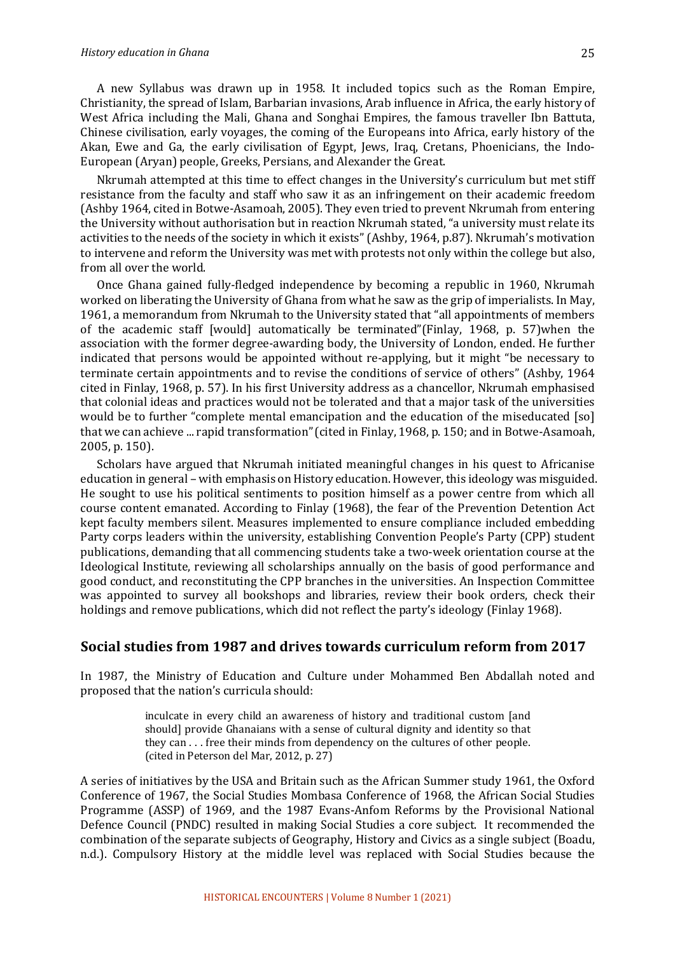#### *History education in Ghana*

A new Syllabus was drawn up in 1958. It included topics such as the Roman Empire, Christianity, the spread of Islam, Barbarian invasions, Arab influence in Africa, the early history of West Africa including the Mali, Ghana and Songhai Empires, the famous traveller Ibn Battuta, Chinese civilisation, early voyages, the coming of the Europeans into Africa, early history of the Akan, Ewe and Ga, the early civilisation of Egypt, Jews, Iraq, Cretans, Phoenicians, the Indo-European (Aryan) people, Greeks, Persians, and Alexander the Great.

Nkrumah attempted at this time to effect changes in the University's curriculum but met stiff resistance from the faculty and staff who saw it as an infringement on their academic freedom (Ashby 1964, cited in Botwe-Asamoah, 2005). They even tried to prevent Nkrumah from entering the University without authorisation but in reaction Nkrumah stated, "a university must relate its activities to the needs of the society in which it exists" (Ashby, 1964, p.87). Nkrumah's motivation to intervene and reform the University was met with protests not only within the college but also, from all over the world.

Once Ghana gained fully-fledged independence by becoming a republic in 1960, Nkrumah worked on liberating the University of Ghana from what he saw as the grip of imperialists. In May, 1961, a memorandum from Nkrumah to the University stated that "all appointments of members of the academic staff [would] automatically be terminated"(Finlay, 1968, p. 57)when the association with the former degree-awarding body, the University of London, ended. He further indicated that persons would be appointed without re-applying, but it might "be necessary to terminate certain appointments and to revise the conditions of service of others" (Ashby, 1964) cited in Finlay, 1968, p. 57). In his first University address as a chancellor, Nkrumah emphasised that colonial ideas and practices would not be tolerated and that a major task of the universities would be to further "complete mental emancipation and the education of the miseducated [so] that we can achieve ... rapid transformation" (cited in Finlay, 1968, p. 150; and in Botwe-Asamoah, 2005, p. 150).

Scholars have argued that Nkrumah initiated meaningful changes in his quest to Africanise education in general - with emphasis on History education. However, this ideology was misguided. He sought to use his political sentiments to position himself as a power centre from which all course content emanated. According to Finlay (1968), the fear of the Prevention Detention Act kept faculty members silent. Measures implemented to ensure compliance included embedding Party corps leaders within the university, establishing Convention People's Party (CPP) student publications, demanding that all commencing students take a two-week orientation course at the Ideological Institute, reviewing all scholarships annually on the basis of good performance and good conduct, and reconstituting the CPP branches in the universities. An Inspection Committee was appointed to survey all bookshops and libraries, review their book orders, check their holdings and remove publications, which did not reflect the party's ideology (Finlay 1968).

## **Social studies from 1987 and drives towards curriculum reform from 2017**

In 1987, the Ministry of Education and Culture under Mohammed Ben Abdallah noted and proposed that the nation's curricula should:

> inculcate in every child an awareness of history and traditional custom [and should] provide Ghanaians with a sense of cultural dignity and identity so that they can  $\dots$  free their minds from dependency on the cultures of other people. (cited in Peterson del Mar, 2012, p. 27)

A series of initiatives by the USA and Britain such as the African Summer study 1961, the Oxford Conference of 1967, the Social Studies Mombasa Conference of 1968, the African Social Studies Programme (ASSP) of 1969, and the 1987 Evans-Anfom Reforms by the Provisional National Defence Council (PNDC) resulted in making Social Studies a core subject. It recommended the combination of the separate subjects of Geography, History and Civics as a single subject (Boadu, n.d.). Compulsory History at the middle level was replaced with Social Studies because the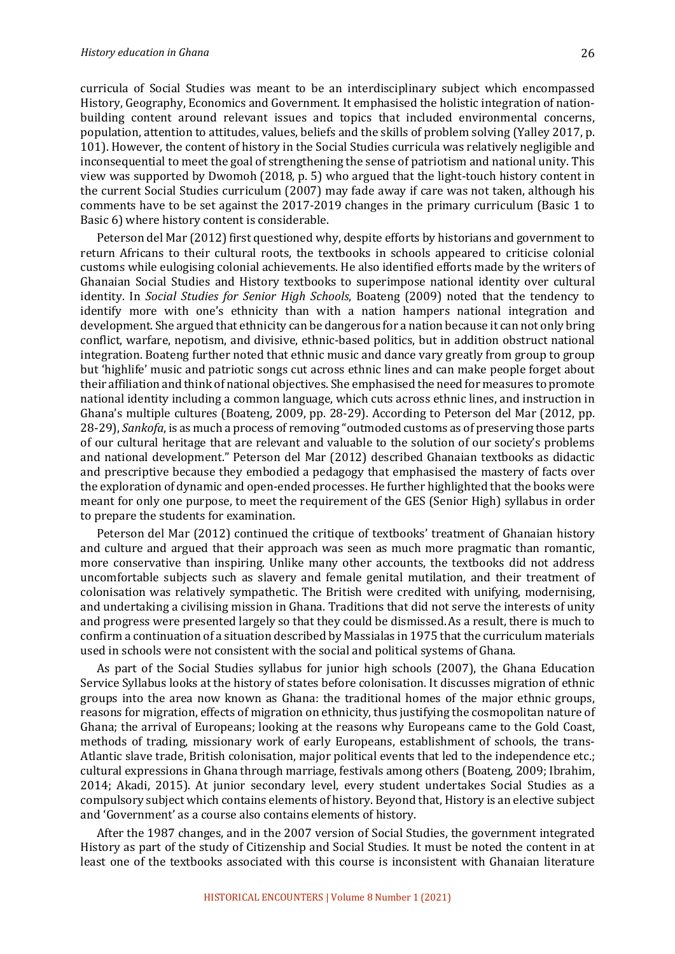curricula of Social Studies was meant to be an interdisciplinary subject which encompassed History, Geography, Economics and Government. It emphasised the holistic integration of nationbuilding content around relevant issues and topics that included environmental concerns, population, attention to attitudes, values, beliefs and the skills of problem solving (Yalley 2017, p. 101). However, the content of history in the Social Studies curricula was relatively negligible and inconsequential to meet the goal of strengthening the sense of patriotism and national unity. This view was supported by Dwomoh  $(2018, p. 5)$  who argued that the light-touch history content in the current Social Studies curriculum  $(2007)$  may fade away if care was not taken, although his comments have to be set against the 2017-2019 changes in the primary curriculum (Basic 1 to Basic 6) where history content is considerable.

Peterson del Mar (2012) first questioned why, despite efforts by historians and government to return Africans to their cultural roots, the textbooks in schools appeared to criticise colonial customs while eulogising colonial achievements. He also identified efforts made by the writers of Ghanaian Social Studies and History textbooks to superimpose national identity over cultural identity. In *Social Studies for Senior High Schools*, Boateng (2009) noted that the tendency to identify more with one's ethnicity than with a nation hampers national integration and development. She argued that ethnicity can be dangerous for a nation because it can not only bring conflict, warfare, nepotism, and divisive, ethnic-based politics, but in addition obstruct national integration. Boateng further noted that ethnic music and dance vary greatly from group to group but 'highlife' music and patriotic songs cut across ethnic lines and can make people forget about their affiliation and think of national objectives. She emphasised the need for measures to promote national identity including a common language, which cuts across ethnic lines, and instruction in Ghana's multiple cultures (Boateng, 2009, pp. 28-29). According to Peterson del Mar (2012, pp. 28-29), *Sankofa*, is as much a process of removing "outmoded customs as of preserving those parts of our cultural heritage that are relevant and valuable to the solution of our society's problems and national development." Peterson del Mar (2012) described Ghanaian textbooks as didactic and prescriptive because they embodied a pedagogy that emphasised the mastery of facts over the exploration of dynamic and open-ended processes. He further highlighted that the books were meant for only one purpose, to meet the requirement of the GES (Senior High) syllabus in order to prepare the students for examination.

Peterson del Mar (2012) continued the critique of textbooks' treatment of Ghanaian history and culture and argued that their approach was seen as much more pragmatic than romantic, more conservative than inspiring. Unlike many other accounts, the textbooks did not address uncomfortable subjects such as slavery and female genital mutilation, and their treatment of colonisation was relatively sympathetic. The British were credited with unifying, modernising, and undertaking a civilising mission in Ghana. Traditions that did not serve the interests of unity and progress were presented largely so that they could be dismissed. As a result, there is much to confirm a continuation of a situation described by Massialas in 1975 that the curriculum materials used in schools were not consistent with the social and political systems of Ghana.

As part of the Social Studies syllabus for junior high schools (2007), the Ghana Education Service Syllabus looks at the history of states before colonisation. It discusses migration of ethnic groups into the area now known as Ghana: the traditional homes of the major ethnic groups, reasons for migration, effects of migration on ethnicity, thus justifying the cosmopolitan nature of Ghana; the arrival of Europeans; looking at the reasons why Europeans came to the Gold Coast, methods of trading, missionary work of early Europeans, establishment of schools, the trans-Atlantic slave trade, British colonisation, major political events that led to the independence etc.; cultural expressions in Ghana through marriage, festivals among others (Boateng, 2009; Ibrahim, 2014; Akadi, 2015). At junior secondary level, every student undertakes Social Studies as a compulsory subject which contains elements of history. Beyond that, History is an elective subject and 'Government' as a course also contains elements of history.

After the 1987 changes, and in the 2007 version of Social Studies, the government integrated History as part of the study of Citizenship and Social Studies. It must be noted the content in at least one of the textbooks associated with this course is inconsistent with Ghanaian literature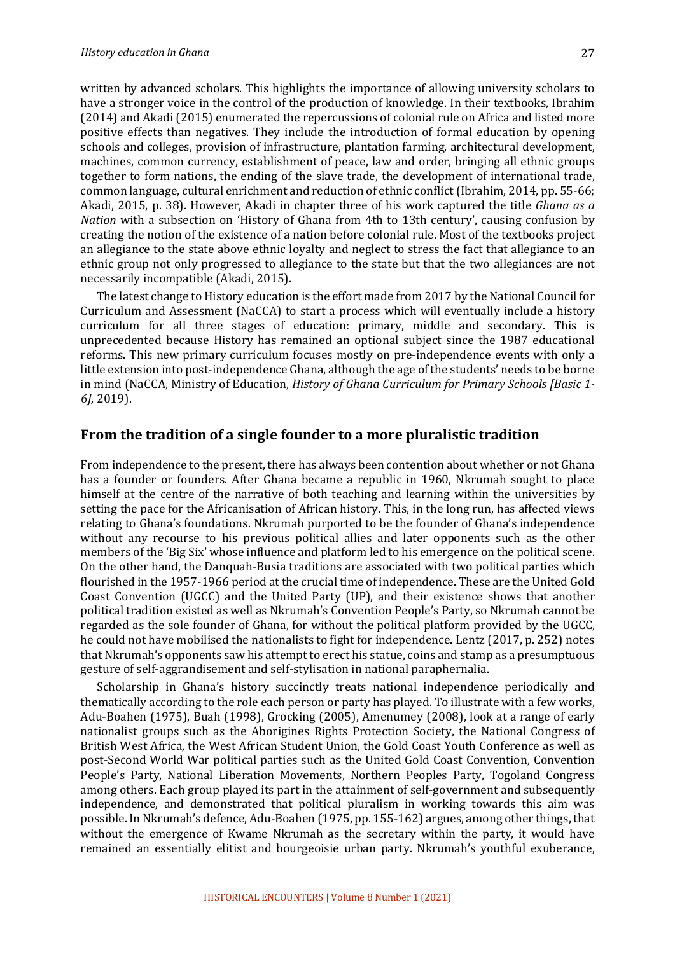written by advanced scholars. This highlights the importance of allowing university scholars to have a stronger voice in the control of the production of knowledge. In their textbooks, Ibrahim (2014) and Akadi (2015) enumerated the repercussions of colonial rule on Africa and listed more positive effects than negatives. They include the introduction of formal education by opening schools and colleges, provision of infrastructure, plantation farming, architectural development, machines, common currency, establishment of peace, law and order, bringing all ethnic groups together to form nations, the ending of the slave trade, the development of international trade, common language, cultural enrichment and reduction of ethnic conflict (Ibrahim, 2014, pp. 55-66; Akadi, 2015, p. 38). However, Akadi in chapter three of his work captured the title *Ghana as a Nation* with a subsection on 'History of Ghana from 4th to 13th century', causing confusion by creating the notion of the existence of a nation before colonial rule. Most of the textbooks project an allegiance to the state above ethnic loyalty and neglect to stress the fact that allegiance to an ethnic group not only progressed to allegiance to the state but that the two allegiances are not necessarily incompatible (Akadi, 2015).

The latest change to History education is the effort made from 2017 by the National Council for Curriculum and Assessment (NaCCA) to start a process which will eventually include a history curriculum for all three stages of education: primary, middle and secondary. This is unprecedented because History has remained an optional subject since the 1987 educational reforms. This new primary curriculum focuses mostly on pre-independence events with only a little extension into post-independence Ghana, although the age of the students' needs to be borne in mind (NaCCA, Ministry of Education, *History of Ghana Curriculum for Primary Schools [Basic 1-6],* 2019).

#### From the tradition of a single founder to a more pluralistic tradition

From independence to the present, there has always been contention about whether or not Ghana has a founder or founders. After Ghana became a republic in 1960, Nkrumah sought to place himself at the centre of the narrative of both teaching and learning within the universities by setting the pace for the Africanisation of African history. This, in the long run, has affected views relating to Ghana's foundations. Nkrumah purported to be the founder of Ghana's independence without any recourse to his previous political allies and later opponents such as the other members of the 'Big Six' whose influence and platform led to his emergence on the political scene. On the other hand, the Danquah-Busia traditions are associated with two political parties which flourished in the 1957-1966 period at the crucial time of independence. These are the United Gold Coast Convention (UGCC) and the United Party (UP), and their existence shows that another political tradition existed as well as Nkrumah's Convention People's Party, so Nkrumah cannot be regarded as the sole founder of Ghana, for without the political platform provided by the UGCC, he could not have mobilised the nationalists to fight for independence. Lentz (2017, p. 252) notes that Nkrumah's opponents saw his attempt to erect his statue, coins and stamp as a presumptuous gesture of self-aggrandisement and self-stylisation in national paraphernalia.

Scholarship in Ghana's history succinctly treats national independence periodically and thematically according to the role each person or party has played. To illustrate with a few works, Adu-Boahen (1975), Buah (1998), Grocking (2005), Amenumey (2008), look at a range of early nationalist groups such as the Aborigines Rights Protection Society, the National Congress of British West Africa, the West African Student Union, the Gold Coast Youth Conference as well as post-Second World War political parties such as the United Gold Coast Convention, Convention People's Party, National Liberation Movements, Northern Peoples Party, Togoland Congress among others. Each group played its part in the attainment of self-government and subsequently independence, and demonstrated that political pluralism in working towards this aim was possible. In Nkrumah's defence, Adu-Boahen (1975, pp. 155-162) argues, among other things, that without the emergence of Kwame Nkrumah as the secretary within the party, it would have remained an essentially elitist and bourgeoisie urban party. Nkrumah's youthful exuberance,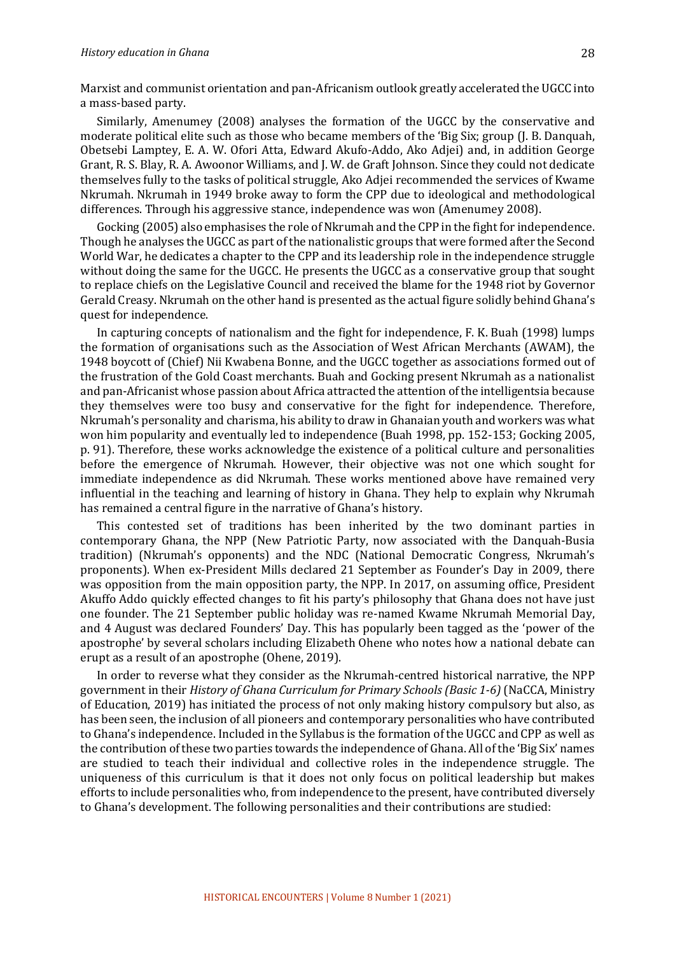Marxist and communist orientation and pan-Africanism outlook greatly accelerated the UGCC into a mass-based party.

Similarly, Amenumey (2008) analyses the formation of the UGCC by the conservative and moderate political elite such as those who became members of the 'Big Six; group (J. B. Danquah, Obetsebi Lamptey, E. A. W. Ofori Atta, Edward Akufo-Addo, Ako Adjei) and, in addition George Grant, R. S. Blay, R. A. Awoonor Williams, and J. W. de Graft Johnson. Since they could not dedicate themselves fully to the tasks of political struggle, Ako Adjei recommended the services of Kwame Nkrumah. Nkrumah in 1949 broke away to form the CPP due to ideological and methodological differences. Through his aggressive stance, independence was won (Amenumey 2008).

Gocking (2005) also emphasises the role of Nkrumah and the CPP in the fight for independence. Though he analyses the UGCC as part of the nationalistic groups that were formed after the Second World War, he dedicates a chapter to the CPP and its leadership role in the independence struggle without doing the same for the UGCC. He presents the UGCC as a conservative group that sought to replace chiefs on the Legislative Council and received the blame for the 1948 riot by Governor Gerald Creasy. Nkrumah on the other hand is presented as the actual figure solidly behind Ghana's quest for independence.

In capturing concepts of nationalism and the fight for independence, F. K. Buah (1998) lumps the formation of organisations such as the Association of West African Merchants (AWAM), the 1948 boycott of (Chief) Nii Kwabena Bonne, and the UGCC together as associations formed out of the frustration of the Gold Coast merchants. Buah and Gocking present Nkrumah as a nationalist and pan-Africanist whose passion about Africa attracted the attention of the intelligentsia because they themselves were too busy and conservative for the fight for independence. Therefore, Nkrumah's personality and charisma, his ability to draw in Ghanaian youth and workers was what won him popularity and eventually led to independence (Buah 1998, pp. 152-153; Gocking 2005, p. 91). Therefore, these works acknowledge the existence of a political culture and personalities before the emergence of Nkrumah. However, their objective was not one which sought for immediate independence as did Nkrumah. These works mentioned above have remained very influential in the teaching and learning of history in Ghana. They help to explain why Nkrumah has remained a central figure in the narrative of Ghana's history.

This contested set of traditions has been inherited by the two dominant parties in contemporary Ghana, the NPP (New Patriotic Party, now associated with the Danquah-Busia tradition) (Nkrumah's opponents) and the NDC (National Democratic Congress, Nkrumah's proponents). When ex-President Mills declared 21 September as Founder's Day in 2009, there was opposition from the main opposition party, the NPP. In 2017, on assuming office, President Akuffo Addo quickly effected changes to fit his party's philosophy that Ghana does not have just one founder. The 21 September public holiday was re-named Kwame Nkrumah Memorial Day, and 4 August was declared Founders' Day. This has popularly been tagged as the 'power of the apostrophe' by several scholars including Elizabeth Ohene who notes how a national debate can erupt as a result of an apostrophe (Ohene, 2019).

In order to reverse what they consider as the Nkrumah-centred historical narrative, the NPP government in their *History of Ghana Curriculum for Primary Schools (Basic 1-6)* (NaCCA, Ministry of Education, 2019) has initiated the process of not only making history compulsory but also, as has been seen, the inclusion of all pioneers and contemporary personalities who have contributed to Ghana's independence. Included in the Syllabus is the formation of the UGCC and CPP as well as the contribution of these two parties towards the independence of Ghana. All of the 'Big Six' names are studied to teach their individual and collective roles in the independence struggle. The uniqueness of this curriculum is that it does not only focus on political leadership but makes efforts to include personalities who, from independence to the present, have contributed diversely to Ghana's development. The following personalities and their contributions are studied: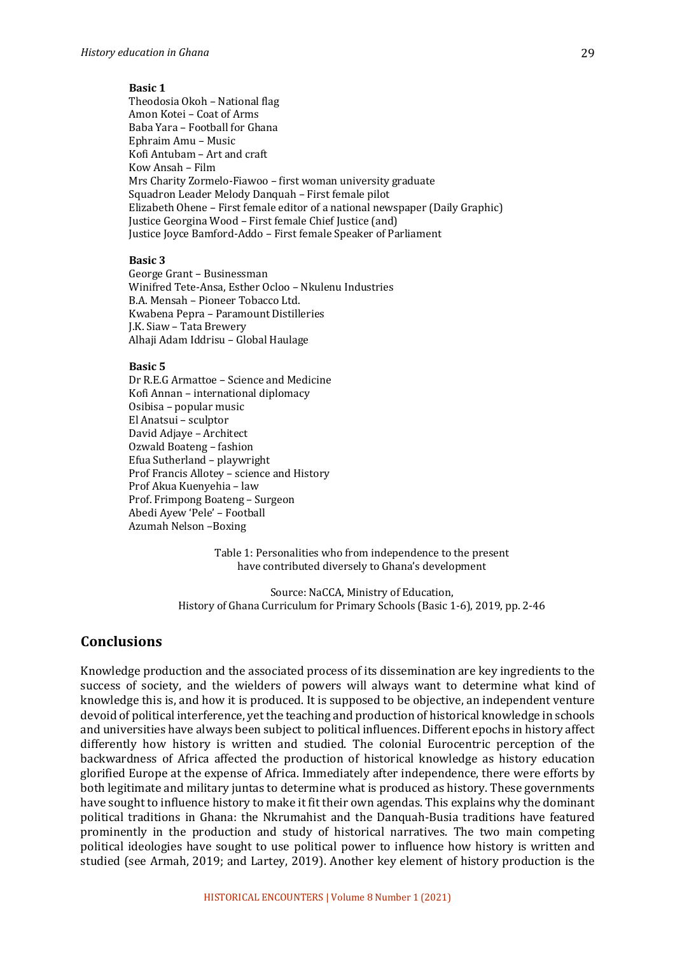#### **Basic 1**

Theodosia Okoh - National flag Amon Kotei - Coat of Arms Baba Yara – Football for Ghana Ephraim Amu - Music Kofi Antubam - Art and craft Kow Ansah – Film Mrs Charity Zormelo-Fiawoo – first woman university graduate Squadron Leader Melody Danquah – First female pilot Elizabeth Ohene - First female editor of a national newspaper (Daily Graphic) Justice Georgina Wood - First female Chief Justice (and) Justice Joyce Bamford-Addo - First female Speaker of Parliament

#### **Basic 3**

George Grant - Businessman Winifred Tete-Ansa, Esther Ocloo - Nkulenu Industries B.A. Mensah - Pioneer Tobacco Ltd. Kwabena Pepra – Paramount Distilleries J.K. Siaw - Tata Brewery Alhaji Adam Iddrisu - Global Haulage

#### **Basic 5**

Dr R.E.G Armattoe - Science and Medicine Kofi Annan – international diplomacy Osibisa – popular music El Anatsui – sculptor David Adjaye - Architect Ozwald Boateng - fashion Efua Sutherland – playwright Prof Francis Allotey – science and History Prof Akua Kuenyehia - law Prof. Frimpong Boateng - Surgeon Abedi Ayew 'Pele' - Football Azumah Nelson –Boxing 

> Table 1: Personalities who from independence to the present have contributed diversely to Ghana's development

Source: NaCCA, Ministry of Education, History of Ghana Curriculum for Primary Schools (Basic 1-6), 2019, pp. 2-46

## **Conclusions**

Knowledge production and the associated process of its dissemination are key ingredients to the success of society, and the wielders of powers will always want to determine what kind of knowledge this is, and how it is produced. It is supposed to be objective, an independent venture devoid of political interference, yet the teaching and production of historical knowledge in schools and universities have always been subject to political influences. Different epochs in history affect differently how history is written and studied. The colonial Eurocentric perception of the backwardness of Africa affected the production of historical knowledge as history education glorified Europe at the expense of Africa. Immediately after independence, there were efforts by both legitimate and military juntas to determine what is produced as history. These governments have sought to influence history to make it fit their own agendas. This explains why the dominant political traditions in Ghana: the Nkrumahist and the Danquah-Busia traditions have featured prominently in the production and study of historical narratives. The two main competing political ideologies have sought to use political power to influence how history is written and studied (see Armah, 2019; and Lartey, 2019). Another key element of history production is the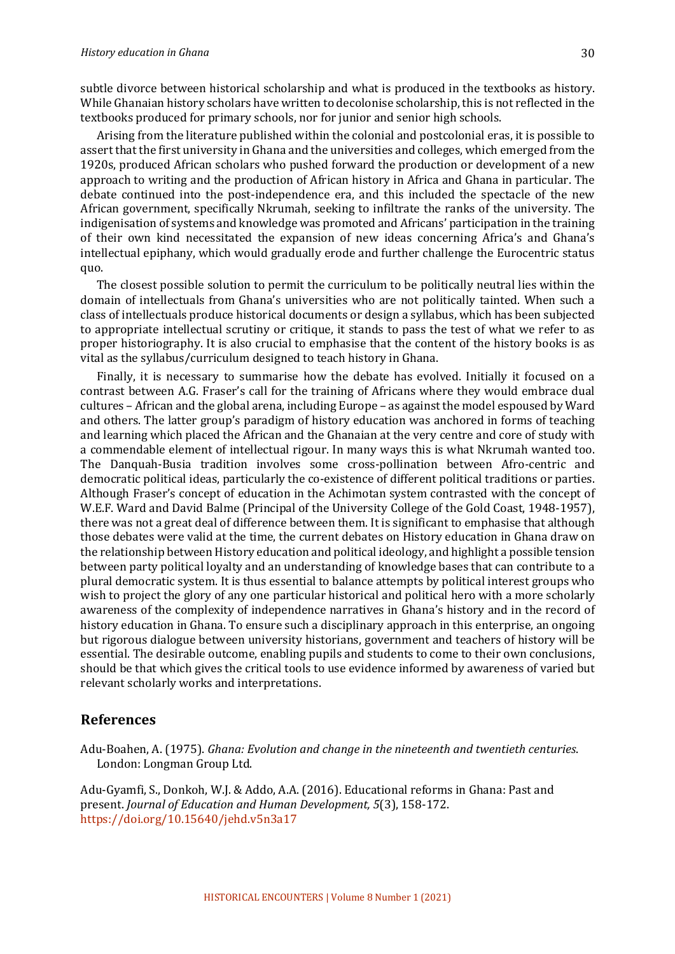subtle divorce between historical scholarship and what is produced in the textbooks as history. While Ghanaian history scholars have written to decolonise scholarship, this is not reflected in the textbooks produced for primary schools, nor for junior and senior high schools.

Arising from the literature published within the colonial and postcolonial eras, it is possible to assert that the first university in Ghana and the universities and colleges, which emerged from the 1920s, produced African scholars who pushed forward the production or development of a new approach to writing and the production of African history in Africa and Ghana in particular. The debate continued into the post-independence era, and this included the spectacle of the new African government, specifically Nkrumah, seeking to infiltrate the ranks of the university. The indigenisation of systems and knowledge was promoted and Africans' participation in the training of their own kind necessitated the expansion of new ideas concerning Africa's and Ghana's intellectual epiphany, which would gradually erode and further challenge the Eurocentric status quo.

The closest possible solution to permit the curriculum to be politically neutral lies within the domain of intellectuals from Ghana's universities who are not politically tainted. When such a class of intellectuals produce historical documents or design a syllabus, which has been subjected to appropriate intellectual scrutiny or critique, it stands to pass the test of what we refer to as proper historiography. It is also crucial to emphasise that the content of the history books is as vital as the syllabus/curriculum designed to teach history in Ghana.

Finally, it is necessary to summarise how the debate has evolved. Initially it focused on a contrast between A.G. Fraser's call for the training of Africans where they would embrace dual cultures – African and the global arena, including Europe – as against the model espoused by Ward and others. The latter group's paradigm of history education was anchored in forms of teaching and learning which placed the African and the Ghanaian at the very centre and core of study with a commendable element of intellectual rigour. In many ways this is what Nkrumah wanted too. The Danquah-Busia tradition involves some cross-pollination between Afro-centric and democratic political ideas, particularly the co-existence of different political traditions or parties. Although Fraser's concept of education in the Achimotan system contrasted with the concept of W.E.F. Ward and David Balme (Principal of the University College of the Gold Coast, 1948-1957), there was not a great deal of difference between them. It is significant to emphasise that although those debates were valid at the time, the current debates on History education in Ghana draw on the relationship between History education and political ideology, and highlight a possible tension between party political loyalty and an understanding of knowledge bases that can contribute to a plural democratic system. It is thus essential to balance attempts by political interest groups who wish to project the glory of any one particular historical and political hero with a more scholarly awareness of the complexity of independence narratives in Ghana's history and in the record of history education in Ghana. To ensure such a disciplinary approach in this enterprise, an ongoing but rigorous dialogue between university historians, government and teachers of history will be essential. The desirable outcome, enabling pupils and students to come to their own conclusions, should be that which gives the critical tools to use evidence informed by awareness of varied but relevant scholarly works and interpretations.

## **References**

Adu-Boahen, A. (1975). *Ghana: Evolution and change in the nineteenth and twentieth centuries.* London: Longman Group Ltd.

Adu-Gyamfi, S., Donkoh, W.J. & Addo, A.A. (2016). Educational reforms in Ghana: Past and present. *Journal of Education and Human Development*, 5(3), 158-172. https://doi.org/10.15640/jehd.v5n3a17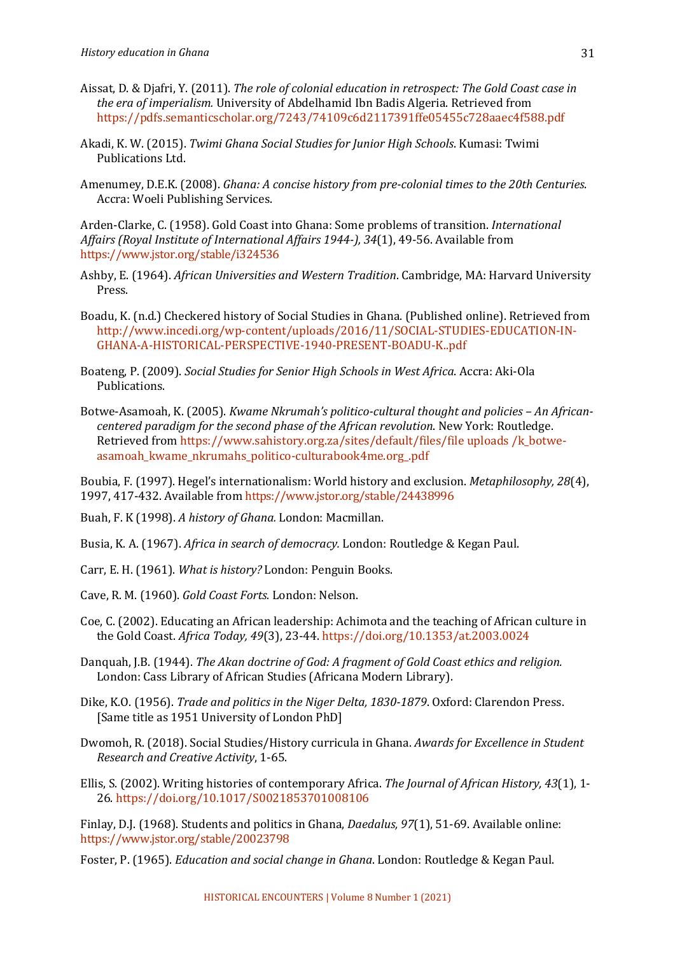- Aissat, D. & Djafri, Y. (2011). *The role of colonial education in retrospect: The Gold Coast case in the era of imperialism.* University of Abdelhamid Ibn Badis Algeria. Retrieved from https://pdfs.semanticscholar.org/7243/74109c6d2117391ffe05455c728aaec4f588.pdf
- Akadi, K. W. (2015). *Twimi Ghana Social Studies for Junior High Schools*. Kumasi: Twimi Publications Ltd.
- Amenumey, D.E.K. (2008). *Ghana: A concise history from pre-colonial times to the 20th Centuries.* Accra: Woeli Publishing Services.

Arden-Clarke, C. (1958). Gold Coast into Ghana: Some problems of transition. *International* Affairs (Royal Institute of International Affairs 1944-), 34(1), 49-56. Available from https://www.jstor.org/stable/i324536

- Ashby, E. (1964). *African Universities and Western Tradition*. Cambridge, MA: Harvard University Press.
- Boadu, K. (n.d.) Checkered history of Social Studies in Ghana. (Published online). Retrieved from http://www.incedi.org/wp-content/uploads/2016/11/SOCIAL-STUDIES-EDUCATION-IN-GHANA-A-HISTORICAL-PERSPECTIVE-1940-PRESENT-BOADU-K..pdf
- Boateng, P. (2009). *Social Studies for Senior High Schools in West Africa*. Accra: Aki-Ola Publications.
- Botwe-Asamoah, K. (2005). *Kwame Nkrumah's politico-cultural thought and policies An Africancentered paradigm for the second phase of the African revolution*. New York: Routledge. Retrieved from https://www.sahistory.org.za/sites/default/files/file uploads/k\_botweasamoah\_kwame\_nkrumahs\_politico-culturabook4me.org\_.pdf

Boubia, F. (1997). Hegel's internationalism: World history and exclusion. *Metaphilosophy, 28*(4), 1997, 417-432. Available from https://www.jstor.org/stable/24438996

Buah, F. K (1998). *A history of Ghana.* London: Macmillan.

Busia, K. A. (1967). *Africa in search of democracy.* London: Routledge & Kegan Paul.

- Carr, E. H. (1961). *What is history?* London: Penguin Books.
- Cave, R. M. (1960). Gold Coast Forts. London: Nelson.
- Coe, C. (2002). Educating an African leadership: Achimota and the teaching of African culture in the Gold Coast. *Africa Today, 49*(3), 23-44. https://doi.org/10.1353/at.2003.0024
- Danquah, J.B. (1944). *The Akan doctrine of God: A fragment of Gold Coast ethics and religion.* London: Cass Library of African Studies (Africana Modern Library).
- Dike, K.O. (1956). *Trade and politics in the Niger Delta, 1830-1879*. Oxford: Clarendon Press. [Same title as 1951 University of London PhD]
- Dwomoh, R. (2018). Social Studies/History curricula in Ghana. Awards for Excellence in Student *Research and Creative Activity*, 1-65.
- Ellis, S. (2002). Writing histories of contemporary Africa. The Journal of African History, 43(1), 1-26. https://doi.org/10.1017/S0021853701008106

Finlay, D.J. (1968). Students and politics in Ghana, *Daedalus*, 97(1), 51-69. Available online: https://www.jstor.org/stable/20023798

Foster, P. (1965). *Education and social change in Ghana*. London: Routledge & Kegan Paul.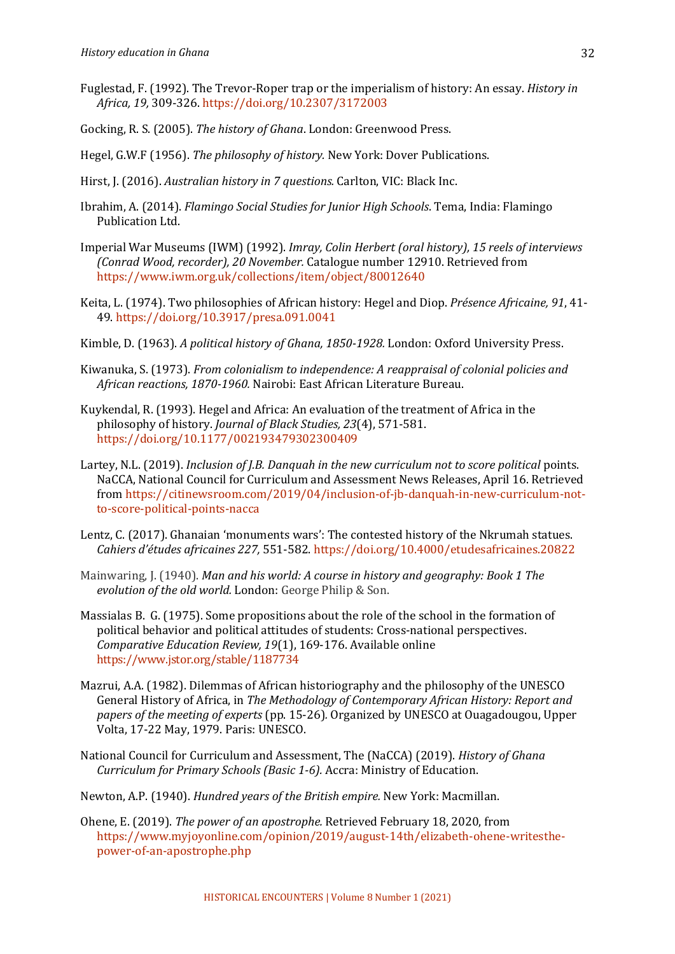- Fuglestad, F. (1992). The Trevor-Roper trap or the imperialism of history: An essay. *History in Africa, 19,* 309-326. https://doi.org/10.2307/3172003
- Gocking, R. S. (2005). *The history of Ghana*. London: Greenwood Press.
- Hegel, G.W.F (1956). *The philosophy of history*. New York: Dover Publications.
- Hirst, J. (2016). *Australian history in 7 questions.* Carlton, VIC: Black Inc.
- Ibrahim, A. (2014). *Flamingo Social Studies for Junior High Schools*. Tema, India: Flamingo Publication Ltd.
- Imperial War Museums (IWM) (1992). *Imray, Colin Herbert (oral history), 15 reels of interviews (Conrad Wood, recorder), 20 November.* Catalogue number 12910. Retrieved from https://www.iwm.org.uk/collections/item/object/80012640
- Keita, L. (1974). Two philosophies of African history: Hegel and Diop. Présence Africaine, 91, 41-49. https://doi.org/10.3917/presa.091.0041
- Kimble, D. (1963). A political history of Ghana, 1850-1928. London: Oxford University Press.
- Kiwanuka, S. (1973). *From colonialism to independence: A reappraisal of colonial policies and* African reactions, 1870-1960. Nairobi: East African Literature Bureau.
- Kuykendal, R. (1993). Hegel and Africa: An evaluation of the treatment of Africa in the philosophy of history. *Journal of Black Studies, 23*(4), 571-581. https://doi.org/10.1177/002193479302300409
- Lartey, N.L. (2019). *Inclusion of J.B. Danquah in the new curriculum not to score political points.* NaCCA, National Council for Curriculum and Assessment News Releases, April 16. Retrieved from https://citinewsroom.com/2019/04/inclusion-of-jb-danquah-in-new-curriculum-notto-score-political-points-nacca
- Lentz, C. (2017). Ghanaian 'monuments wars': The contested history of the Nkrumah statues. *Cahiers d'études africaines 227,* 551-582. https://doi.org/10.4000/etudesafricaines.20822
- Mainwaring, J. (1940). *Man and his world: A course in history and geography: Book 1 The evolution of the old world.* London: George Philip & Son.
- Massialas B. G. (1975). Some propositions about the role of the school in the formation of political behavior and political attitudes of students: Cross-national perspectives. Comparative Education Review, 19(1), 169-176. Available online https://www.jstor.org/stable/1187734
- Mazrui, A.A. (1982). Dilemmas of African historiography and the philosophy of the UNESCO General History of Africa, in *The Methodology of Contemporary African History: Report and papers of the meeting of experts* (pp. 15-26). Organized by UNESCO at Ouagadougou, Upper Volta, 17-22 May, 1979. Paris: UNESCO.
- National Council for Curriculum and Assessment, The (NaCCA) (2019). *History of Ghana Curriculum for Primary Schools (Basic 1-6).* Accra: Ministry of Education.
- Newton, A.P. (1940). *Hundred years of the British empire.* New York: Macmillan.
- Ohene, E. (2019). *The power of an apostrophe.* Retrieved February 18, 2020, from https://www.myjoyonline.com/opinion/2019/august-14th/elizabeth-ohene-writesthepower-of-an-apostrophe.php